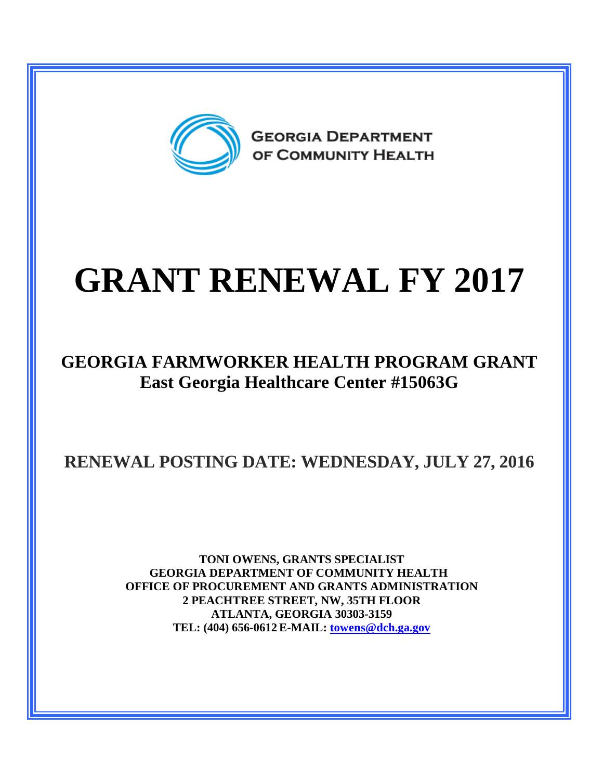

# **GRANT RENEWAL FY 2017**

#### **GEORGIA FARMWORKER HEALTH PROGRAM GRANT East Georgia Healthcare Center #15063G**

### **RENEWAL POSTING DATE: WEDNESDAY, JULY 27, 2016**

**TONI OWENS, GRANTS SPECIALIST GEORGIA DEPARTMENT OF COMMUNITY HEALTH OFFICE OF PROCUREMENT AND GRANTS ADMINISTRATION 2 PEACHTREE STREET, NW, 35TH FLOOR ATLANTA, GEORGIA 30303-3159 TEL: (404) 656-0612 E-MAIL: [towens@dch.ga.gov](mailto:towens@dch.ga.gov)**